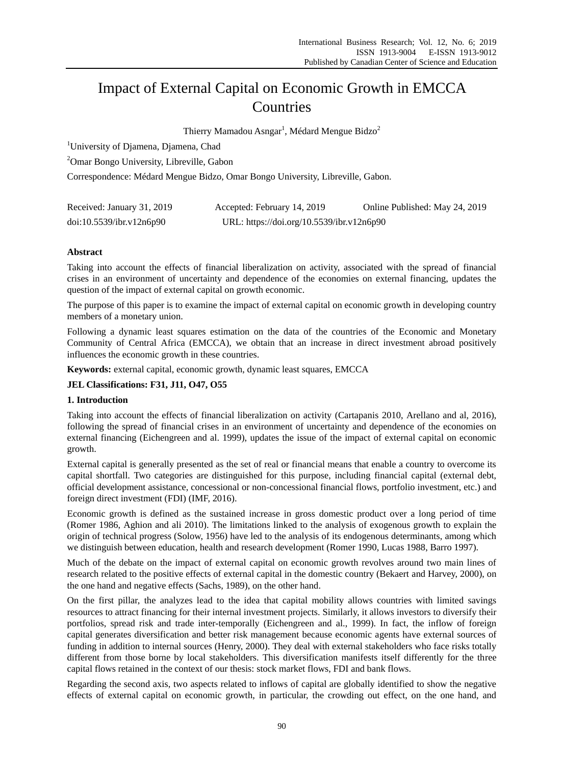# Impact of External Capital on Economic Growth in EMCCA Countries

Thierry Mamadou Asngar<sup>1</sup>, M édard Mengue Bidzo<sup>2</sup>

<sup>1</sup>University of Djamena, Djamena, Chad

<sup>2</sup>Omar Bongo University, Libreville, Gabon

Correspondence: Médard Mengue Bidzo, Omar Bongo University, Libreville, Gabon.

| Received: January 31, 2019 | Accepted: February 14, 2019               | Online Published: May 24, 2019 |
|----------------------------|-------------------------------------------|--------------------------------|
| doi:10.5539/ibr.v12n6p90   | URL: https://doi.org/10.5539/ibr.v12n6p90 |                                |

# **Abstract**

Taking into account the effects of financial liberalization on activity, associated with the spread of financial crises in an environment of uncertainty and dependence of the economies on external financing, updates the question of the impact of external capital on growth economic.

The purpose of this paper is to examine the impact of external capital on economic growth in developing country members of a monetary union.

Following a dynamic least squares estimation on the data of the countries of the Economic and Monetary Community of Central Africa (EMCCA), we obtain that an increase in direct investment abroad positively influences the economic growth in these countries.

**Keywords:** external capital, economic growth, dynamic least squares, EMCCA

# **JEL Classifications: F31, J11, O47, O55**

# **1. Introduction**

Taking into account the effects of financial liberalization on activity (Cartapanis 2010, Arellano and al, 2016), following the spread of financial crises in an environment of uncertainty and dependence of the economies on external financing (Eichengreen and al. 1999), updates the issue of the impact of external capital on economic growth.

External capital is generally presented as the set of real or financial means that enable a country to overcome its capital shortfall. Two categories are distinguished for this purpose, including financial capital (external debt, official development assistance, concessional or non-concessional financial flows, portfolio investment, etc.) and foreign direct investment (FDI) (IMF, 2016).

Economic growth is defined as the sustained increase in gross domestic product over a long period of time (Romer 1986, Aghion and ali 2010). The limitations linked to the analysis of exogenous growth to explain the origin of technical progress (Solow, 1956) have led to the analysis of its endogenous determinants, among which we distinguish between education, health and research development (Romer 1990, Lucas 1988, Barro 1997).

Much of the debate on the impact of external capital on economic growth revolves around two main lines of research related to the positive effects of external capital in the domestic country (Bekaert and Harvey, 2000), on the one hand and negative effects (Sachs, 1989), on the other hand.

On the first pillar, the analyzes lead to the idea that capital mobility allows countries with limited savings resources to attract financing for their internal investment projects. Similarly, it allows investors to diversify their portfolios, spread risk and trade inter-temporally (Eichengreen and al., 1999). In fact, the inflow of foreign capital generates diversification and better risk management because economic agents have external sources of funding in addition to internal sources (Henry, 2000). They deal with external stakeholders who face risks totally different from those borne by local stakeholders. This diversification manifests itself differently for the three capital flows retained in the context of our thesis: stock market flows, FDI and bank flows.

Regarding the second axis, two aspects related to inflows of capital are globally identified to show the negative effects of external capital on economic growth, in particular, the crowding out effect, on the one hand, and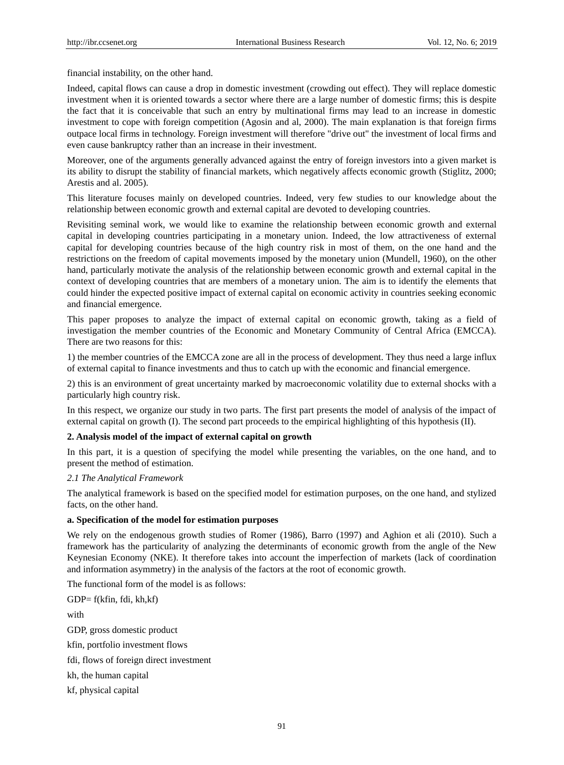financial instability, on the other hand.

Indeed, capital flows can cause a drop in domestic investment (crowding out effect). They will replace domestic investment when it is oriented towards a sector where there are a large number of domestic firms; this is despite the fact that it is conceivable that such an entry by multinational firms may lead to an increase in domestic investment to cope with foreign competition (Agosin and al, 2000). The main explanation is that foreign firms outpace local firms in technology. Foreign investment will therefore "drive out" the investment of local firms and even cause bankruptcy rather than an increase in their investment.

Moreover, one of the arguments generally advanced against the entry of foreign investors into a given market is its ability to disrupt the stability of financial markets, which negatively affects economic growth (Stiglitz, 2000; Arestis and al. 2005).

This literature focuses mainly on developed countries. Indeed, very few studies to our knowledge about the relationship between economic growth and external capital are devoted to developing countries.

Revisiting seminal work, we would like to examine the relationship between economic growth and external capital in developing countries participating in a monetary union. Indeed, the low attractiveness of external capital for developing countries because of the high country risk in most of them, on the one hand and the restrictions on the freedom of capital movements imposed by the monetary union (Mundell, 1960), on the other hand, particularly motivate the analysis of the relationship between economic growth and external capital in the context of developing countries that are members of a monetary union. The aim is to identify the elements that could hinder the expected positive impact of external capital on economic activity in countries seeking economic and financial emergence.

This paper proposes to analyze the impact of external capital on economic growth, taking as a field of investigation the member countries of the Economic and Monetary Community of Central Africa (EMCCA). There are two reasons for this:

1) the member countries of the EMCCA zone are all in the process of development. They thus need a large influx of external capital to finance investments and thus to catch up with the economic and financial emergence.

2) this is an environment of great uncertainty marked by macroeconomic volatility due to external shocks with a particularly high country risk.

In this respect, we organize our study in two parts. The first part presents the model of analysis of the impact of external capital on growth (I). The second part proceeds to the empirical highlighting of this hypothesis (II).

# **2. Analysis model of the impact of external capital on growth**

In this part, it is a question of specifying the model while presenting the variables, on the one hand, and to present the method of estimation.

#### *2.1 The Analytical Framework*

The analytical framework is based on the specified model for estimation purposes, on the one hand, and stylized facts, on the other hand.

#### **a. Specification of the model for estimation purposes**

We rely on the endogenous growth studies of Romer (1986), Barro (1997) and Aghion et ali (2010). Such a framework has the particularity of analyzing the determinants of economic growth from the angle of the New Keynesian Economy (NKE). It therefore takes into account the imperfection of markets (lack of coordination and information asymmetry) in the analysis of the factors at the root of economic growth.

The functional form of the model is as follows:

GDP= f(kfin, fdi, kh,kf) with GDP, gross domestic product kfin, portfolio investment flows fdi, flows of foreign direct investment kh, the human capital kf, physical capital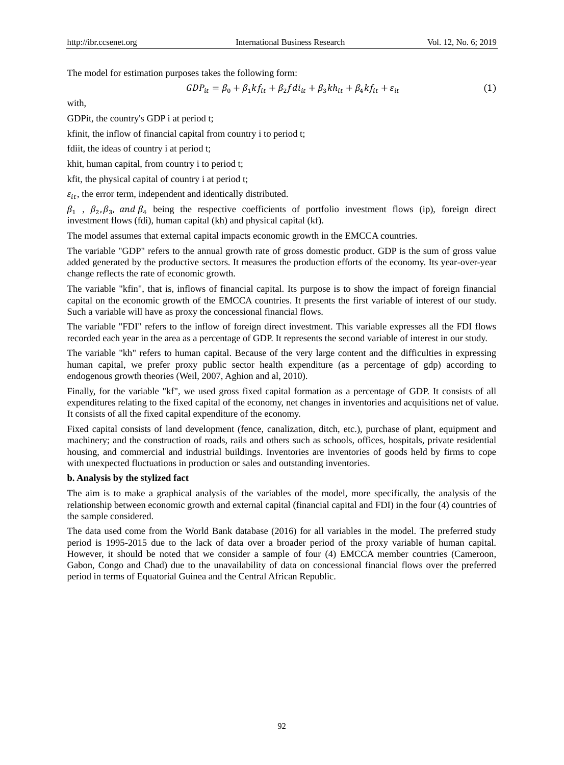The model for estimation purposes takes the following form:

$$
GDP_{it} = \beta_0 + \beta_1 kf_{it} + \beta_2 fdi_{it} + \beta_3 kh_{it} + \beta_4 kf_{it} + \varepsilon_{it}
$$
\n
$$
\tag{1}
$$

with,

GDPit, the country's GDP i at period t;

kfinit, the inflow of financial capital from country i to period t;

fdiit, the ideas of country i at period t;

khit, human capital, from country i to period t;

kfit, the physical capital of country i at period t;

 $\varepsilon_{it}$ , the error term, independent and identically distributed.

 $\beta_1$ ,  $\beta_2$ ,  $\beta_3$ , and  $\beta_4$  being the respective coefficients of portfolio investment flows (ip), foreign direct investment flows (fdi), human capital (kh) and physical capital (kf).

The model assumes that external capital impacts economic growth in the EMCCA countries.

The variable "GDP" refers to the annual growth rate of gross domestic product. GDP is the sum of gross value added generated by the productive sectors. It measures the production efforts of the economy. Its year-over-year change reflects the rate of economic growth.

The variable "kfin", that is, inflows of financial capital. Its purpose is to show the impact of foreign financial capital on the economic growth of the EMCCA countries. It presents the first variable of interest of our study. Such a variable will have as proxy the concessional financial flows.

The variable "FDI" refers to the inflow of foreign direct investment. This variable expresses all the FDI flows recorded each year in the area as a percentage of GDP. It represents the second variable of interest in our study.

The variable "kh" refers to human capital. Because of the very large content and the difficulties in expressing human capital, we prefer proxy public sector health expenditure (as a percentage of gdp) according to endogenous growth theories (Weil, 2007, Aghion and al, 2010).

Finally, for the variable "kf", we used gross fixed capital formation as a percentage of GDP. It consists of all expenditures relating to the fixed capital of the economy, net changes in inventories and acquisitions net of value. It consists of all the fixed capital expenditure of the economy.

Fixed capital consists of land development (fence, canalization, ditch, etc.), purchase of plant, equipment and machinery; and the construction of roads, rails and others such as schools, offices, hospitals, private residential housing, and commercial and industrial buildings. Inventories are inventories of goods held by firms to cope with unexpected fluctuations in production or sales and outstanding inventories.

## **b. Analysis by the stylized fact**

The aim is to make a graphical analysis of the variables of the model, more specifically, the analysis of the relationship between economic growth and external capital (financial capital and FDI) in the four (4) countries of the sample considered.

The data used come from the World Bank database (2016) for all variables in the model. The preferred study period is 1995-2015 due to the lack of data over a broader period of the proxy variable of human capital. However, it should be noted that we consider a sample of four (4) EMCCA member countries (Cameroon, Gabon, Congo and Chad) due to the unavailability of data on concessional financial flows over the preferred period in terms of Equatorial Guinea and the Central African Republic.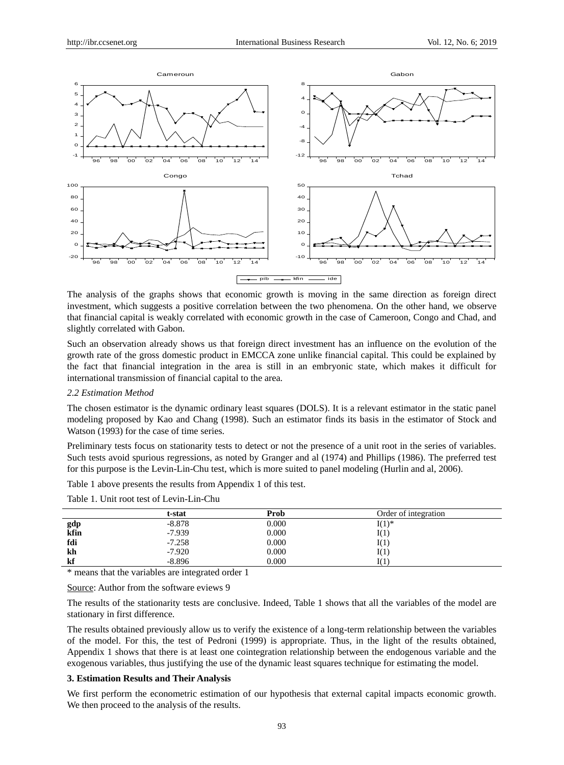

The analysis of the graphs shows that economic growth is moving in the same direction as foreign direct investment, which suggests a positive correlation between the two phenomena. On the other hand, we observe that financial capital is weakly correlated with economic growth in the case of Cameroon, Congo and Chad, and slightly correlated with Gabon.

Such an observation already shows us that foreign direct investment has an influence on the evolution of the growth rate of the gross domestic product in EMCCA zone unlike financial capital. This could be explained by the fact that financial integration in the area is still in an embryonic state, which makes it difficult for international transmission of financial capital to the area.

## *2.2 Estimation Method*

The chosen estimator is the dynamic ordinary least squares (DOLS). It is a relevant estimator in the static panel modeling proposed by Kao and Chang (1998). Such an estimator finds its basis in the estimator of Stock and Watson (1993) for the case of time series.

Preliminary tests focus on stationarity tests to detect or not the presence of a unit root in the series of variables. Such tests avoid spurious regressions, as noted by Granger and al (1974) and Phillips (1986). The preferred test for this purpose is the Levin-Lin-Chu test, which is more suited to panel modeling (Hurlin and al, 2006).

Table 1 above presents the results from Appendix 1 of this test.

|             | t-stat   | Prob  | Order of integration |  |
|-------------|----------|-------|----------------------|--|
| gdp<br>kfin | $-8.878$ | 0.000 | $I(1)^*$             |  |
|             | $-7.939$ | 0.000 | I(1)                 |  |
| fdi         | $-7.258$ | 0.000 | I(1)                 |  |
| kh          | $-7.920$ | 0.000 | I(1)                 |  |
| kf          | $-8.896$ | 0.000 | I (1                 |  |
|             |          |       |                      |  |

Table 1. Unit root test of Levin-Lin-Chu

\* means that the variables are integrated order 1

Source: Author from the software eviews 9

The results of the stationarity tests are conclusive. Indeed, Table 1 shows that all the variables of the model are stationary in first difference.

The results obtained previously allow us to verify the existence of a long-term relationship between the variables of the model. For this, the test of Pedroni (1999) is appropriate. Thus, in the light of the results obtained, Appendix 1 shows that there is at least one cointegration relationship between the endogenous variable and the exogenous variables, thus justifying the use of the dynamic least squares technique for estimating the model.

#### **3. Estimation Results and Their Analysis**

We first perform the econometric estimation of our hypothesis that external capital impacts economic growth. We then proceed to the analysis of the results.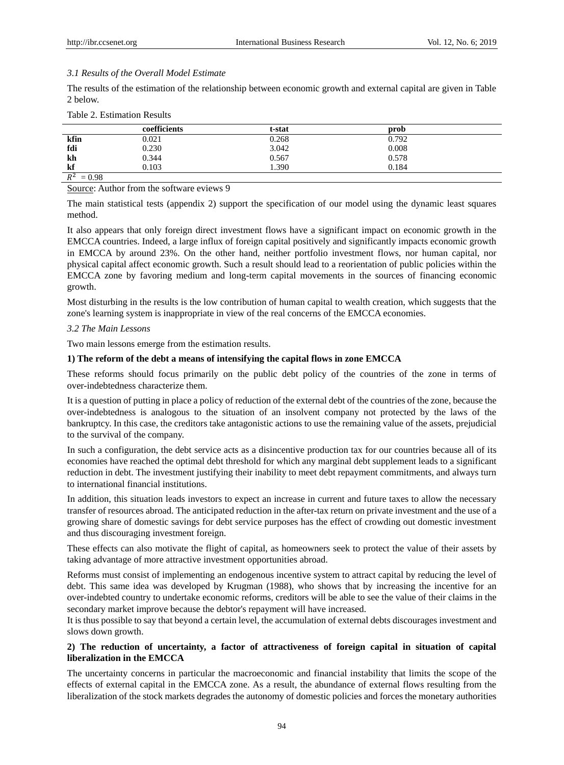## *3.1 Results of the Overall Model Estimate*

The results of the estimation of the relationship between economic growth and external capital are given in Table 2 below.

|                   | coefficients | t-stat | prob  |
|-------------------|--------------|--------|-------|
| kfin              | 0.021        | 0.268  | 0.792 |
| fdi               | 0.230        | 3.042  | 0.008 |
| kh                | 0.344        | 0.567  | 0.578 |
| kf                | 0.103        | .390   | 0.184 |
| $R^2$<br>$= 0.98$ |              |        |       |

Source: Author from the software eviews 9

The main statistical tests (appendix 2) support the specification of our model using the dynamic least squares method.

It also appears that only foreign direct investment flows have a significant impact on economic growth in the EMCCA countries. Indeed, a large influx of foreign capital positively and significantly impacts economic growth in EMCCA by around 23%. On the other hand, neither portfolio investment flows, nor human capital, nor physical capital affect economic growth. Such a result should lead to a reorientation of public policies within the EMCCA zone by favoring medium and long-term capital movements in the sources of financing economic growth.

Most disturbing in the results is the low contribution of human capital to wealth creation, which suggests that the zone's learning system is inappropriate in view of the real concerns of the EMCCA economies.

## *3.2 The Main Lessons*

Two main lessons emerge from the estimation results.

## **1) The reform of the debt a means of intensifying the capital flows in zone EMCCA**

These reforms should focus primarily on the public debt policy of the countries of the zone in terms of over-indebtedness characterize them.

It is a question of putting in place a policy of reduction of the external debt of the countries of the zone, because the over-indebtedness is analogous to the situation of an insolvent company not protected by the laws of the bankruptcy. In this case, the creditors take antagonistic actions to use the remaining value of the assets, prejudicial to the survival of the company.

In such a configuration, the debt service acts as a disincentive production tax for our countries because all of its economies have reached the optimal debt threshold for which any marginal debt supplement leads to a significant reduction in debt. The investment justifying their inability to meet debt repayment commitments, and always turn to international financial institutions.

In addition, this situation leads investors to expect an increase in current and future taxes to allow the necessary transfer of resources abroad. The anticipated reduction in the after-tax return on private investment and the use of a growing share of domestic savings for debt service purposes has the effect of crowding out domestic investment and thus discouraging investment foreign.

These effects can also motivate the flight of capital, as homeowners seek to protect the value of their assets by taking advantage of more attractive investment opportunities abroad.

Reforms must consist of implementing an endogenous incentive system to attract capital by reducing the level of debt. This same idea was developed by Krugman (1988), who shows that by increasing the incentive for an over-indebted country to undertake economic reforms, creditors will be able to see the value of their claims in the secondary market improve because the debtor's repayment will have increased.

It is thus possible to say that beyond a certain level, the accumulation of external debts discourages investment and slows down growth.

## **2) The reduction of uncertainty, a factor of attractiveness of foreign capital in situation of capital liberalization in the EMCCA**

The uncertainty concerns in particular the macroeconomic and financial instability that limits the scope of the effects of external capital in the EMCCA zone. As a result, the abundance of external flows resulting from the liberalization of the stock markets degrades the autonomy of domestic policies and forces the monetary authorities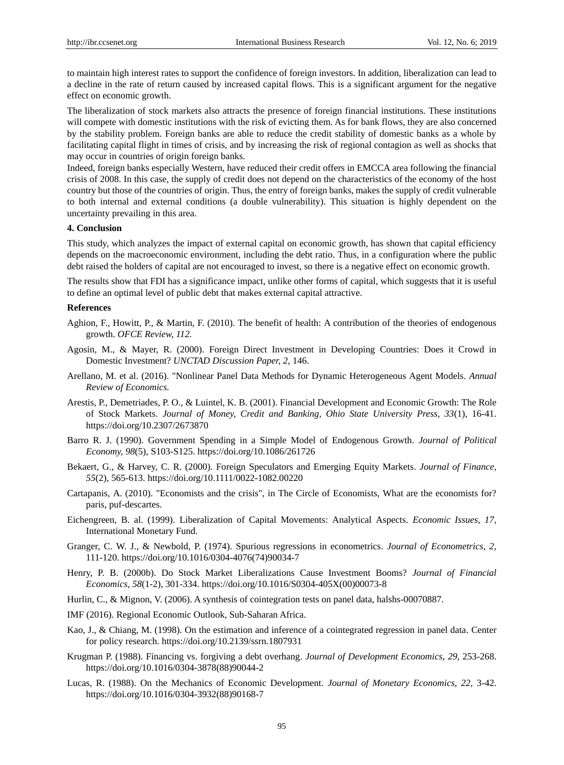to maintain high interest rates to support the confidence of foreign investors. In addition, liberalization can lead to a decline in the rate of return caused by increased capital flows. This is a significant argument for the negative effect on economic growth.

The liberalization of stock markets also attracts the presence of foreign financial institutions. These institutions will compete with domestic institutions with the risk of evicting them. As for bank flows, they are also concerned by the stability problem. Foreign banks are able to reduce the credit stability of domestic banks as a whole by facilitating capital flight in times of crisis, and by increasing the risk of regional contagion as well as shocks that may occur in countries of origin foreign banks.

Indeed, foreign banks especially Western, have reduced their credit offers in EMCCA area following the financial crisis of 2008. In this case, the supply of credit does not depend on the characteristics of the economy of the host country but those of the countries of origin. Thus, the entry of foreign banks, makes the supply of credit vulnerable to both internal and external conditions (a double vulnerability). This situation is highly dependent on the uncertainty prevailing in this area.

#### **4. Conclusion**

This study, which analyzes the impact of external capital on economic growth, has shown that capital efficiency depends on the macroeconomic environment, including the debt ratio. Thus, in a configuration where the public debt raised the holders of capital are not encouraged to invest, so there is a negative effect on economic growth.

The results show that FDI has a significance impact, unlike other forms of capital, which suggests that it is useful to define an optimal level of public debt that makes external capital attractive.

#### **References**

- Aghion, F., Howitt, P., & Martin, F. (2010). The benefit of health: A contribution of the theories of endogenous growth. *OFCE Review, 112.*
- Agosin, M., & Mayer, R. (2000). Foreign Direct Investment in Developing Countries: Does it Crowd in Domestic Investment? *UNCTAD Discussion Paper, 2,* 146.
- Arellano, M. et al. (2016). "Nonlinear Panel Data Methods for Dynamic Heterogeneous Agent Models. *Annual Review of Economics.*
- Arestis, P., Demetriades, P. O., & Luintel, K. B. (2001). Financial Development and Economic Growth: The Role of Stock Markets. *Journal of Money, Credit and Banking, Ohio State University Press, 33*(1), 16-41. https://doi.org/10.2307/2673870
- Barro R. J. (1990). Government Spending in a Simple Model of Endogenous Growth. *Journal of Political Economy, 98*(5), S103-S125. https://doi.org/10.1086/261726
- Bekaert, G., & Harvey, C. R. (2000). Foreign Speculators and Emerging Equity Markets. *Journal of Finance, 55*(2), 565-613. https://doi.org/10.1111/0022-1082.00220
- Cartapanis, A. (2010). "Economists and the crisis", in The Circle of Economists, What are the economists for? paris, puf-descartes.
- Eichengreen, B. al. (1999). Liberalization of Capital Movements: Analytical Aspects. *Economic Issues, 17,*  International Monetary Fund.
- Granger, C. W. J., & Newbold, P. (1974). Spurious regressions in econometrics. *Journal of Econometrics, 2,*  111-120. https://doi.org/10.1016/0304-4076(74)90034-7
- Henry, P. B. (2000b). Do Stock Market Liberalizations Cause Investment Booms? *Journal of Financial Economics, 58*(1-2), 301-334. https://doi.org/10.1016/S0304-405X(00)00073-8
- Hurlin, C., & Mignon, V. (2006). A synthesis of cointegration tests on panel data, halshs-00070887.
- IMF (2016). Regional Economic Outlook, Sub-Saharan Africa.
- Kao, J., & Chiang, M. (1998). On the estimation and inference of a cointegrated regression in panel data. Center for policy research. https://doi.org/10.2139/ssrn.1807931
- Krugman P. (1988). Financing vs. forgiving a debt overhang. *Journal of Development Economics, 29,* 253-268. https://doi.org/10.1016/0304-3878(88)90044-2
- Lucas, R. (1988). On the Mechanics of Economic Development. *Journal of Monetary Economics, 22,* 3-42. https://doi.org/10.1016/0304-3932(88)90168-7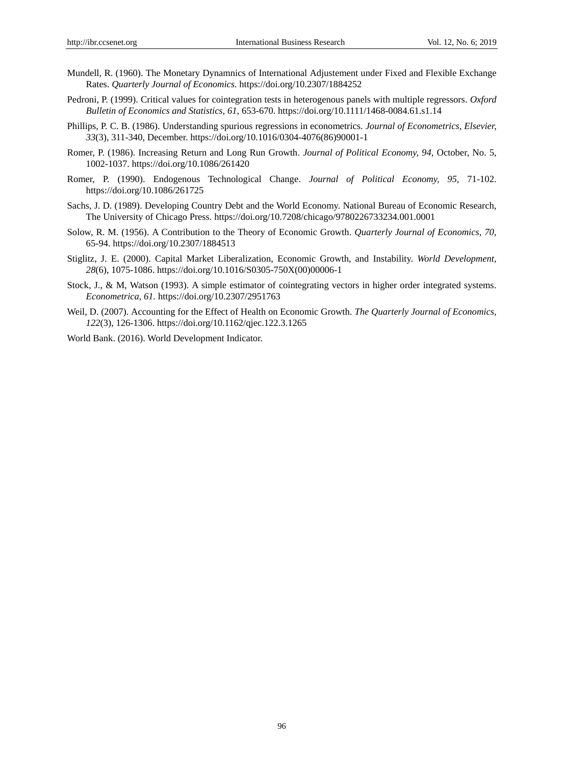- Mundell, R. (1960). The Monetary Dynamnics of International Adjustement under Fixed and Flexible Exchange Rates. *Quarterly Journal of Economics.* https://doi.org/10.2307/1884252
- Pedroni, P. (1999). Critical values for cointegration tests in heterogenous panels with multiple regressors. *Oxford Bulletin of Economics and Statistics, 61,* 653-670. https://doi.org/10.1111/1468-0084.61.s1.14
- Phillips, P. C. B. (1986). Understanding spurious regressions in econometrics. *Journal of Econometrics, Elsevier, 33*(3), 311-340, December. https://doi.org/10.1016/0304-4076(86)90001-1
- Romer, P. (1986). Increasing Return and Long Run Growth. *Journal of Political Economy, 94,* October, No. 5, 1002-1037. https://doi.org/10.1086/261420
- Romer, P. (1990). Endogenous Technological Change. *Journal of Political Economy, 95,* 71-102. https://doi.org/10.1086/261725
- Sachs, J. D. (1989). Developing Country Debt and the World Economy. National Bureau of Economic Research, The University of Chicago Press. https://doi.org/10.7208/chicago/9780226733234.001.0001
- Solow, R. M. (1956). A Contribution to the Theory of Economic Growth. *Quarterly Journal of Economics, 70,*  65-94. https://doi.org/10.2307/1884513
- Stiglitz, J. E. (2000). Capital Market Liberalization, Economic Growth, and Instability. *World Development, 28*(6), 1075-1086. https://doi.org/10.1016/S0305-750X(00)00006-1
- Stock, J., & M, Watson (1993). A simple estimator of cointegrating vectors in higher order integrated systems. *Econometrica, 61.* https://doi.org/10.2307/2951763
- Weil, D. (2007). Accounting for the Effect of Health on Economic Growth. *The Quarterly Journal of Economics, 122*(3), 126-1306. https://doi.org/10.1162/qjec.122.3.1265
- World Bank. (2016). World Development Indicator.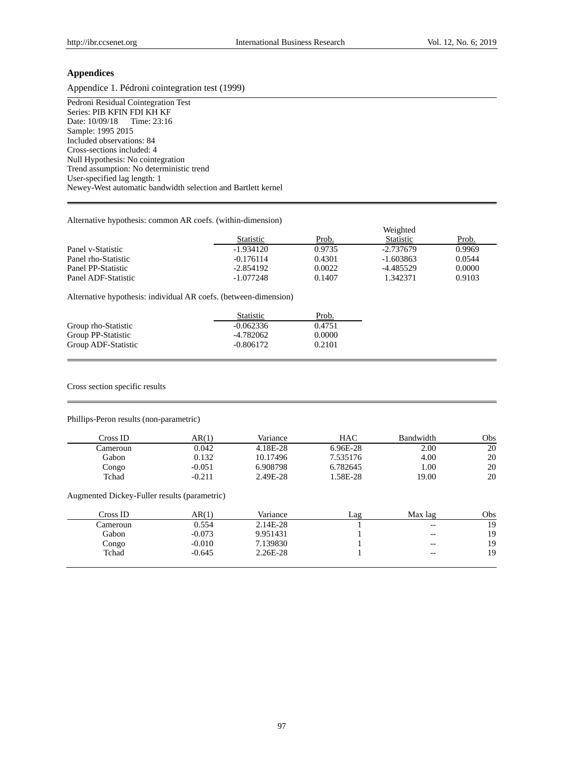## **Appendices**

Appendice 1. Pédroni cointegration test (1999)

Pedroni Residual Cointegration Test Series: PIB KFIN FDI KH KF<br>Date: 10/09/18 Time: 23:16 Date: 10/09/18 Sample: 1995 2015 Included observations: 84 Cross-sections included: 4 Null Hypothesis: No cointegration Trend assumption: No deterministic trend User-specified lag length: 1 Newey-West automatic bandwidth selection and Bartlett kernel

## Alternative hypothesis: common AR coefs. (within-dimension)

| 111011101101011, pointend, common . in cocio, <i>("ithin chinenolon)</i> |          |                  |        |  |  |  |
|--------------------------------------------------------------------------|----------|------------------|--------|--|--|--|
|                                                                          | Weighted |                  |        |  |  |  |
| Statistic                                                                | Prob.    | <b>Statistic</b> | Prob.  |  |  |  |
| $-1.934120$                                                              | 0.9735   | -2.737679        | 0.9969 |  |  |  |
| $-0.176114$                                                              | 0.4301   | $-1.603863$      | 0.0544 |  |  |  |
| $-2.854192$                                                              | 0.0022   | -4.485529        | 0.0000 |  |  |  |
| $-1.077248$                                                              | 0.1407   | 1.342371         | 0.9103 |  |  |  |
|                                                                          |          |                  |        |  |  |  |

Alternative hypothesis: individual AR coefs. (between-dimension)

|                     | <b>Statistic</b> | Prob.  |
|---------------------|------------------|--------|
| Group rho-Statistic | $-0.062336$      | 0.4751 |
| Group PP-Statistic  | -4.782062        | 0.0000 |
| Group ADF-Statistic | $-0.806172$      | 0.2101 |

#### Cross section specific results

## Phillips-Peron results (non-parametric)

| Cross ID- | AR(1)    | Variance | HAC        | Bandwidth | Obs |
|-----------|----------|----------|------------|-----------|-----|
| .`ameroun | 0.042    | 4.18E-28 | $6.96E-28$ | 2.00      | 20  |
| Gabon     | 0.132    | 10.17496 | 7.535176   | 4.00      | 20  |
| Congo     | $-0.051$ | 6.908798 | 6.782645   | 1.00      | 20  |
| Tchad     | $-0.211$ | 2.49E-28 | .58E-28    | 19.00     | 20  |

## Augmented Dickey-Fuller results (parametric)

| Cross ID | AR(1)    | Variance | Lag | Max lag                                               | Obs |
|----------|----------|----------|-----|-------------------------------------------------------|-----|
| Cameroun | 0.554    | 2.14E-28 |     | $\hspace{0.05cm} - \hspace{0.05cm} - \hspace{0.05cm}$ | 19  |
| Gabon    | $-0.073$ | 9.951431 |     | $- -$                                                 | 19  |
| Congo    | $-0.010$ | 7.139830 |     | $- -$                                                 | 19  |
| Tchad    | $-0.645$ | 2.26E-28 |     | $-$                                                   | 19  |
|          |          |          |     |                                                       |     |